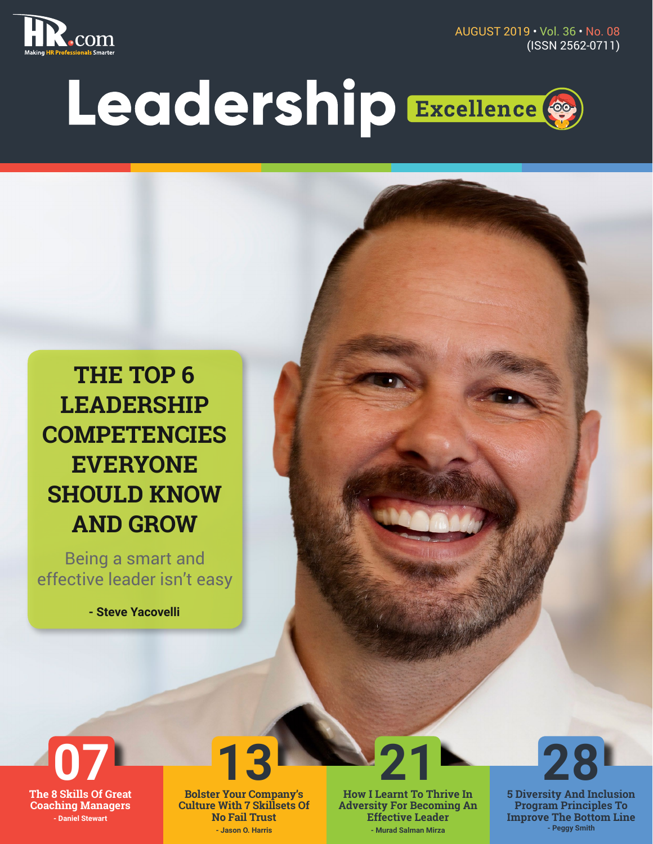

AUGUST 2019 • Vol. 36 • No. 08 (ISSN 2562-0711)

# Leadership Excellence ®

**THE TOP 6 LEADERSHIP COMPETENCIES EVERYONE SHOULD KNOW AND GROW**

Being a smart and effective leader isn't easy

**- Steve Yacovelli**



**Bolster Your Company's Culture With 7 Skillsets Of No Fail Trust - Jason O. Harris**

**How I Learnt To Thrive In Adversity For Becoming An Effective Leader - Murad Salman Mirza**



**5 Diversity And Inclusion Program Principles To Improve The Bottom Line - Peggy Smith**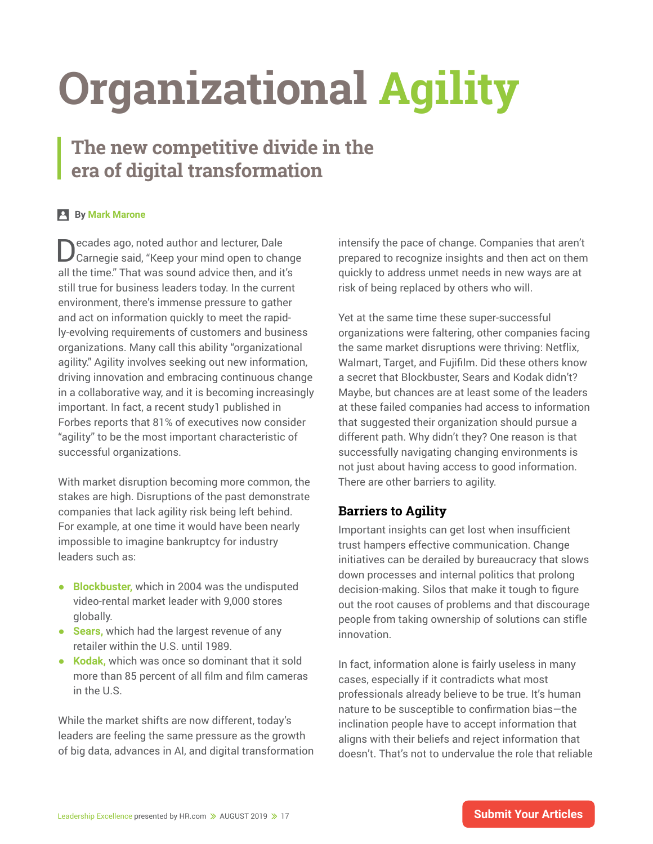## **Organizational Agility**

### **The new competitive divide in the era of digital transformation**

#### **By Mark Marone**

Decades ago, noted author and lecturer, Dale Carnegie said, "Keep your mind open to change all the time." That was sound advice then, and it's still true for business leaders today. In the current environment, there's immense pressure to gather and act on information quickly to meet the rapidly-evolving requirements of customers and business organizations. Many call this ability "organizational agility." Agility involves seeking out new information, driving innovation and embracing continuous change in a collaborative way, and it is becoming increasingly important. In fact, a recent study1 published in Forbes reports that 81% of executives now consider "agility" to be the most important characteristic of successful organizations.

With market disruption becoming more common, the stakes are high. Disruptions of the past demonstrate companies that lack agility risk being left behind. For example, at one time it would have been nearly impossible to imagine bankruptcy for industry leaders such as:

- **● Blockbuster,** which in 2004 was the undisputed video-rental market leader with 9,000 stores globally.
- **● Sears,** which had the largest revenue of any retailer within the U.S. until 1989.
- **● Kodak,** which was once so dominant that it sold more than 85 percent of all film and film cameras in the U.S.

While the market shifts are now different, today's leaders are feeling the same pressure as the growth of big data, advances in AI, and digital transformation intensify the pace of change. Companies that aren't prepared to recognize insights and then act on them quickly to address unmet needs in new ways are at risk of being replaced by others who will.

Yet at the same time these super-successful organizations were faltering, other companies facing the same market disruptions were thriving: Netflix, Walmart, Target, and Fujifilm. Did these others know a secret that Blockbuster, Sears and Kodak didn't? Maybe, but chances are at least some of the leaders at these failed companies had access to information that suggested their organization should pursue a different path. Why didn't they? One reason is that successfully navigating changing environments is not just about having access to good information. There are other barriers to agility.

#### **Barriers to Agility**

Important insights can get lost when insufficient trust hampers effective communication. Change initiatives can be derailed by bureaucracy that slows down processes and internal politics that prolong decision-making. Silos that make it tough to figure out the root causes of problems and that discourage people from taking ownership of solutions can stifle innovation.

In fact, information alone is fairly useless in many cases, especially if it contradicts what most professionals already believe to be true. It's human nature to be susceptible to confirmation bias—the inclination people have to accept information that aligns with their beliefs and reject information that doesn't. That's not to undervalue the role that reliable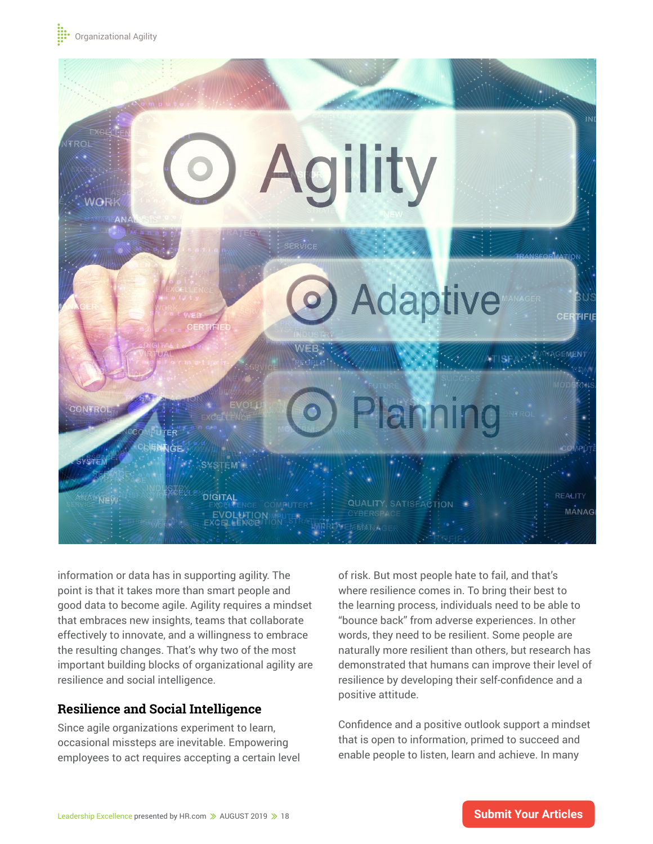

information or data has in supporting agility. The point is that it takes more than smart people and good data to become agile. Agility requires a mindset that embraces new insights, teams that collaborate effectively to innovate, and a willingness to embrace the resulting changes. That's why two of the most important building blocks of organizational agility are resilience and social intelligence.

#### **Resilience and Social Intelligence**

Since agile organizations experiment to learn, occasional missteps are inevitable. Empowering employees to act requires accepting a certain level

of risk. But most people hate to fail, and that's where resilience comes in. To bring their best to the learning process, individuals need to be able to "bounce back" from adverse experiences. In other words, they need to be resilient. Some people are naturally more resilient than others, but research has demonstrated that humans can improve their level of resilience by developing their self-confidence and a positive attitude.

Confidence and a positive outlook support a mindset that is open to information, primed to succeed and enable people to listen, learn and achieve. In many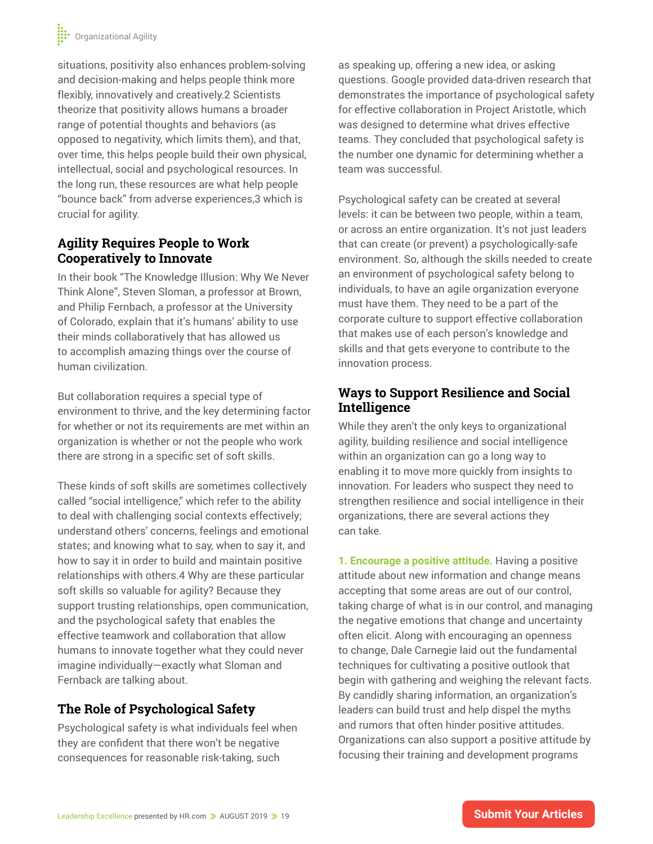situations, positivity also enhances problem-solving and decision-making and helps people think more flexibly, innovatively and creatively.2 Scientists theorize that positivity allows humans a broader range of potential thoughts and behaviors (as opposed to negativity, which limits them), and that, over time, this helps people build their own physical, intellectual, social and psychological resources. In the long run, these resources are what help people "bounce back" from adverse experiences,3 which is crucial for agility.

#### **Agility Requires People to Work Cooperatively to Innovate**

In their book "The Knowledge Illusion: Why We Never Think Alone", Steven Sloman, a professor at Brown, and Philip Fernbach, a professor at the University of Colorado, explain that it's humans' ability to use their minds collaboratively that has allowed us to accomplish amazing things over the course of human civilization.

But collaboration requires a special type of environment to thrive, and the key determining factor for whether or not its requirements are met within an organization is whether or not the people who work there are strong in a specific set of soft skills.

These kinds of soft skills are sometimes collectively called "social intelligence," which refer to the ability to deal with challenging social contexts effectively; understand others' concerns, feelings and emotional states; and knowing what to say, when to say it, and how to say it in order to build and maintain positive relationships with others.4 Why are these particular soft skills so valuable for agility? Because they support trusting relationships, open communication, and the psychological safety that enables the effective teamwork and collaboration that allow humans to innovate together what they could never imagine individually—exactly what Sloman and Fernback are talking about.

#### **The Role of Psychological Safety**

Psychological safety is what individuals feel when they are confident that there won't be negative consequences for reasonable risk-taking, such

as speaking up, offering a new idea, or asking questions. Google provided data-driven research that demonstrates the importance of psychological safety for effective collaboration in Project Aristotle, which was designed to determine what drives effective teams. They concluded that psychological safety is the number one dynamic for determining whether a team was successful.

Psychological safety can be created at several levels: it can be between two people, within a team, or across an entire organization. It's not just leaders that can create (or prevent) a psychologically-safe environment. So, although the skills needed to create an environment of psychological safety belong to individuals, to have an agile organization everyone must have them. They need to be a part of the corporate culture to support effective collaboration that makes use of each person's knowledge and skills and that gets everyone to contribute to the innovation process.

#### **Ways to Support Resilience and Social Intelligence**

While they aren't the only keys to organizational agility, building resilience and social intelligence within an organization can go a long way to enabling it to move more quickly from insights to innovation. For leaders who suspect they need to strengthen resilience and social intelligence in their organizations, there are several actions they can take.

**1. Encourage a positive attitude***.* Having a positive attitude about new information and change means accepting that some areas are out of our control, taking charge of what is in our control, and managing the negative emotions that change and uncertainty often elicit. Along with encouraging an openness to change, Dale Carnegie laid out the fundamental techniques for cultivating a positive outlook that begin with gathering and weighing the relevant facts. By candidly sharing information, an organization's leaders can build trust and help dispel the myths and rumors that often hinder positive attitudes. Organizations can also support a positive attitude by focusing their training and development programs